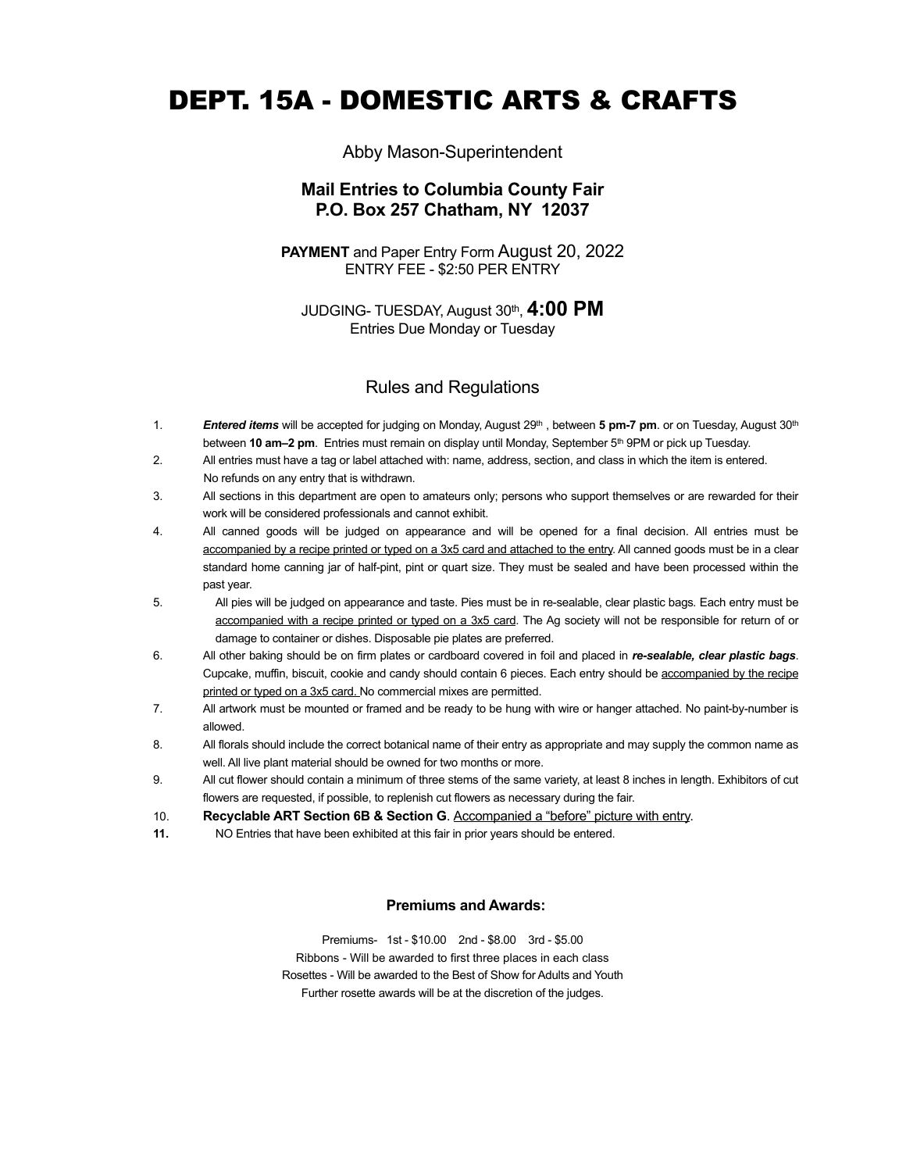# DEPT. 15A - DOMESTIC ARTS & CRAFTS

# Abby Mason-Superintendent

# **Mail Entries to Columbia County Fair P.O. Box 257 Chatham, NY 12037**

**PAYMENT** and Paper Entry Form August 20, 2022 ENTRY FEE - \$2:50 PER ENTRY

JUDGING- TUESDAY, August 30th, **4:00 PM** Entries Due Monday or Tuesday

# Rules and Regulations

- 1. *Entered items* will be accepted for judging on Monday, August 29th , between **5 pm-7 pm**. or on Tuesday, August 30th between **10 am–2 pm**. Entries must remain on display until Monday, September 5<sup>th</sup> 9PM or pick up Tuesday.
- 2. All entries must have a tag or label attached with: name, address, section, and class in which the item is entered. No refunds on any entry that is withdrawn.
- 3. All sections in this department are open to amateurs only; persons who support themselves or are rewarded for their work will be considered professionals and cannot exhibit.
- 4. All canned goods will be judged on appearance and will be opened for a final decision. All entries must be accompanied by a recipe printed or typed on a 3x5 card and attached to the entry. All canned goods must be in a clear standard home canning jar of half-pint, pint or quart size. They must be sealed and have been processed within the past year.
- 5. All pies will be judged on appearance and taste. Pies must be in re-sealable, clear plastic bags*.* Each entry must be accompanied with a recipe printed or typed on a 3x5 card. The Ag society will not be responsible for return of or damage to container or dishes. Disposable pie plates are preferred.
- 6. All other baking should be on firm plates or cardboard covered in foil and placed in *re-sealable, clear plastic bags*. Cupcake, muffin, biscuit, cookie and candy should contain 6 pieces. Each entry should be accompanied by the recipe printed or typed on a 3x5 card. No commercial mixes are permitted.
- 7. All artwork must be mounted or framed and be ready to be hung with wire or hanger attached. No paint-by-number is allowed.
- 8. All florals should include the correct botanical name of their entry as appropriate and may supply the common name as well. All live plant material should be owned for two months or more.
- 9. All cut flower should contain a minimum of three stems of the same variety, at least 8 inches in length. Exhibitors of cut flowers are requested, if possible, to replenish cut flowers as necessary during the fair.
- 10. **Recyclable ART Section 6B & Section G**. Accompanied a "before" picture with entry.
- **11.** NO Entries that have been exhibited at this fair in prior years should be entered.

#### **Premiums and Awards:**

Premiums- 1st - \$10.00 2nd - \$8.00 3rd - \$5.00 Ribbons - Will be awarded to first three places in each class Rosettes - Will be awarded to the Best of Show for Adults and Youth Further rosette awards will be at the discretion of the judges.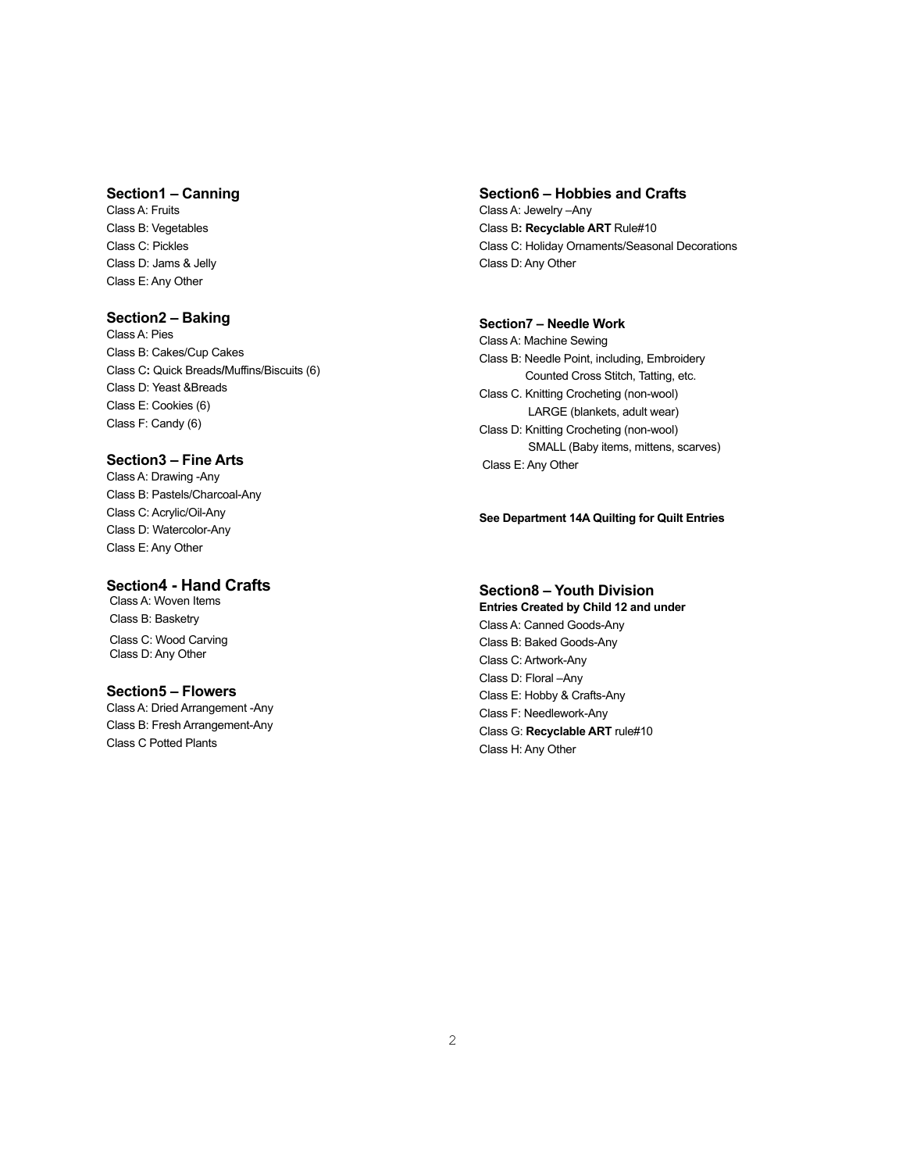#### **Section1 – Canning**

Class A: Fruits Class B: Vegetables Class C: Pickles Class D: Jams & Jelly Class E: Any Other

## **Section2 – Baking**

Class A: Pies Class B: Cakes/Cup Cakes Class C**:** Quick Breads**/**Muffins/Biscuits (6) Class D: Yeast &Breads Class E: Cookies (6) Class F: Candy (6)

#### **Section3 – Fine Arts**

Class A: Drawing -Any Class B: Pastels/Charcoal-Any Class C: Acrylic/Oil-Any Class D: Watercolor-Any Class E: Any Other

### **Section4 - Hand Crafts**

 Class A: Woven Items Class B: Basketry Class C: Wood CarvingClass D: Any Other

#### **Section5 – Flowers**

Class A: Dried Arrangement -Any Class B: Fresh Arrangement-Any Class C Potted Plants

#### **Section6 – Hobbies and Crafts**

Class A: Jewelry –Any Class B**: Recyclable ART** Rule#10 Class C: Holiday Ornaments/Seasonal Decorations Class D: Any Other

#### **Section7 – Needle Work**

Class A: Machine Sewing Class B: Needle Point, including, Embroidery Counted Cross Stitch, Tatting, etc. Class C. Knitting Crocheting (non-wool) LARGE (blankets, adult wear) Class D: Knitting Crocheting (non-wool) SMALL (Baby items, mittens, scarves) Class E: Any Other

#### **See Department 14A Quilting for Quilt Entries**

#### **Section8 – Youth Division**

**Entries Created by Child 12 and under** Class A: Canned Goods-Any Class B: Baked Goods-Any Class C: Artwork-Any Class D: Floral –Any Class E: Hobby & Crafts-Any Class F: Needlework-Any Class G: **Recyclable ART** rule#10 Class H: Any Other